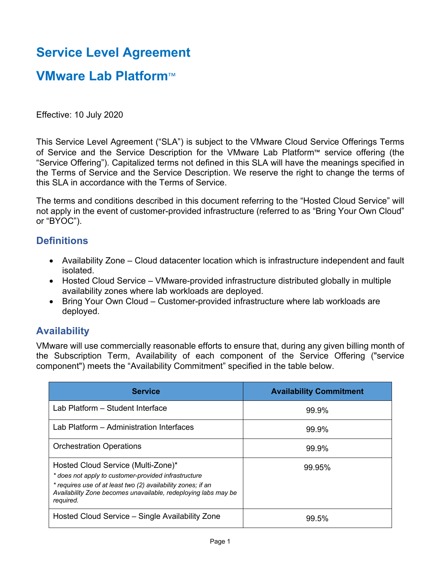# **Service Level Agreement**

## **VMware Lab Platform**™

Effective: 10 July 2020

This Service Level Agreement ("SLA") is subject to the VMware Cloud Service Offerings Terms of Service and the Service Description for the VMware Lab Platform™ service offering (the "Service Offering"). Capitalized terms not defined in this SLA will have the meanings specified in the Terms of Service and the Service Description. We reserve the right to change the terms of this SLA in accordance with the Terms of Service.

The terms and conditions described in this document referring to the "Hosted Cloud Service" will not apply in the event of customer-provided infrastructure (referred to as "Bring Your Own Cloud" or "BYOC").

## **Definitions**

- Availability Zone Cloud datacenter location which is infrastructure independent and fault isolated.
- Hosted Cloud Service VMware-provided infrastructure distributed globally in multiple availability zones where lab workloads are deployed.
- Bring Your Own Cloud Customer-provided infrastructure where lab workloads are deployed.

### **Availability**

VMware will use commercially reasonable efforts to ensure that, during any given billing month of the Subscription Term, Availability of each component of the Service Offering ("service component") meets the "Availability Commitment" specified in the table below.

| <b>Service</b>                                                                                                                                                                                                                            | <b>Availability Commitment</b> |
|-------------------------------------------------------------------------------------------------------------------------------------------------------------------------------------------------------------------------------------------|--------------------------------|
| Lab Platform - Student Interface                                                                                                                                                                                                          | 99.9%                          |
| Lab Platform - Administration Interfaces                                                                                                                                                                                                  | 99.9%                          |
| <b>Orchestration Operations</b>                                                                                                                                                                                                           | 99.9%                          |
| Hosted Cloud Service (Multi-Zone)*<br>* does not apply to customer-provided infrastructure<br>* requires use of at least two (2) availability zones; if an<br>Availability Zone becomes unavailable, redeploying labs may be<br>required. | 99.95%                         |
| Hosted Cloud Service – Single Availability Zone                                                                                                                                                                                           | 99.5%                          |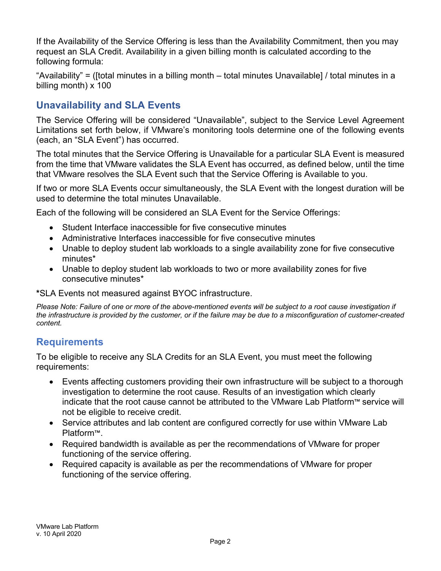If the Availability of the Service Offering is less than the Availability Commitment, then you may request an SLA Credit. Availability in a given billing month is calculated according to the following formula:

"Availability" = ([total minutes in a billing month – total minutes Unavailable] / total minutes in a billing month) x 100

## **Unavailability and SLA Events**

The Service Offering will be considered "Unavailable", subject to the Service Level Agreement Limitations set forth below, if VMware's monitoring tools determine one of the following events (each, an "SLA Event") has occurred.

The total minutes that the Service Offering is Unavailable for a particular SLA Event is measured from the time that VMware validates the SLA Event has occurred, as defined below, until the time that VMware resolves the SLA Event such that the Service Offering is Available to you.

If two or more SLA Events occur simultaneously, the SLA Event with the longest duration will be used to determine the total minutes Unavailable.

Each of the following will be considered an SLA Event for the Service Offerings:

- Student Interface inaccessible for five consecutive minutes
- Administrative Interfaces inaccessible for five consecutive minutes
- Unable to deploy student lab workloads to a single availability zone for five consecutive minutes\*
- Unable to deploy student lab workloads to two or more availability zones for five consecutive minutes\*

#### **\***SLA Events not measured against BYOC infrastructure.

*Please Note: Failure of one or more of the above-mentioned events will be subject to a root cause investigation if the infrastructure is provided by the customer, or if the failure may be due to a misconfiguration of customer-created content.*

## **Requirements**

To be eligible to receive any SLA Credits for an SLA Event, you must meet the following requirements:

- Events affecting customers providing their own infrastructure will be subject to a thorough investigation to determine the root cause. Results of an investigation which clearly indicate that the root cause cannot be attributed to the VMware Lab Platform™ service will not be eligible to receive credit.
- Service attributes and lab content are configured correctly for use within VMware Lab Platform™.
- Required bandwidth is available as per the recommendations of VMware for proper functioning of the service offering.
- Required capacity is available as per the recommendations of VMware for proper functioning of the service offering.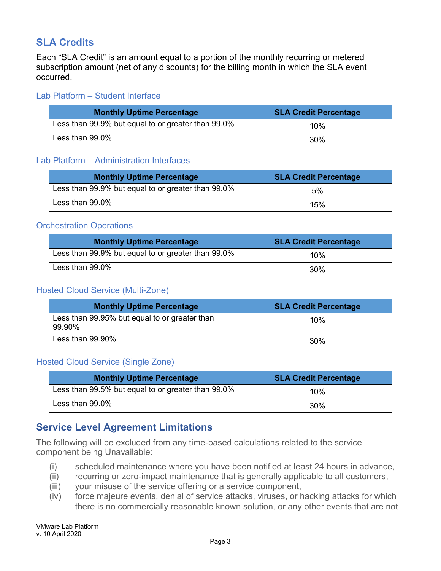## **SLA Credits**

Each "SLA Credit" is an amount equal to a portion of the monthly recurring or metered subscription amount (net of any discounts) for the billing month in which the SLA event occurred.

#### Lab Platform – Student Interface

| <b>Monthly Uptime Percentage</b>                   | <b>SLA Credit Percentage</b> |
|----------------------------------------------------|------------------------------|
| Less than 99.9% but equal to or greater than 99.0% | 10%                          |
| Less than 99.0%                                    | 30%                          |

#### Lab Platform – Administration Interfaces

| <b>Monthly Uptime Percentage</b>                   | <b>SLA Credit Percentage</b> |
|----------------------------------------------------|------------------------------|
| Less than 99.9% but equal to or greater than 99.0% | 5%                           |
| Less than 99.0%                                    | 15%                          |

#### Orchestration Operations

| <b>Monthly Uptime Percentage</b>                   | <b>SLA Credit Percentage</b> |
|----------------------------------------------------|------------------------------|
| Less than 99.9% but equal to or greater than 99.0% | 10%                          |
| Less than 99.0%                                    | 30%                          |

#### Hosted Cloud Service (Multi-Zone)

| <b>Monthly Uptime Percentage</b>                        | <b>SLA Credit Percentage</b> |
|---------------------------------------------------------|------------------------------|
| Less than 99.95% but equal to or greater than<br>99.90% | 10%                          |
| Less than $99.90\%$                                     | 30%                          |

#### Hosted Cloud Service (Single Zone)

| <b>Monthly Uptime Percentage</b>                   | <b>SLA Credit Percentage</b> |
|----------------------------------------------------|------------------------------|
| Less than 99.5% but equal to or greater than 99.0% | 10%                          |
| Less than 99.0%                                    | 30%                          |

## **Service Level Agreement Limitations**

The following will be excluded from any time-based calculations related to the service component being Unavailable:

- (i) scheduled maintenance where you have been notified at least 24 hours in advance,
- (ii) recurring or zero-impact maintenance that is generally applicable to all customers,
- (iii) your misuse of the service offering or a service component,
- (iv) force majeure events, denial of service attacks, viruses, or hacking attacks for which there is no commercially reasonable known solution, or any other events that are not